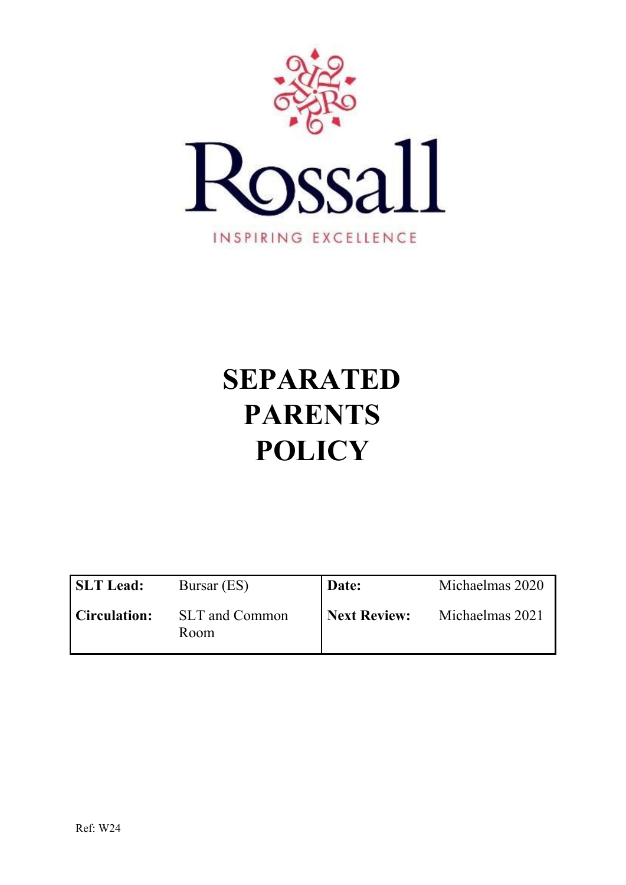

# **SEPARATED PARENTS POLICY**

| <b>SLT Lead:</b>    | Bursar (ES)            | Date:        | Michaelmas 2020 |
|---------------------|------------------------|--------------|-----------------|
| <b>Circulation:</b> | SLT and Common<br>Room | Next Review: | Michaelmas 2021 |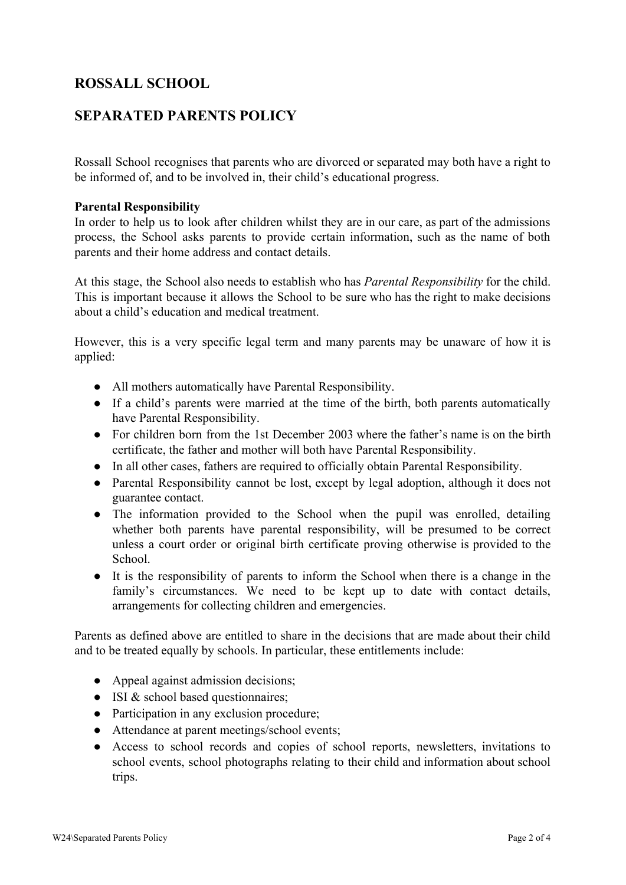## **ROSSALL SCHOOL**

### **SEPARATED PARENTS POLICY**

Rossall School recognises that parents who are divorced or separated may both have a right to be informed of, and to be involved in, their child's educational progress.

#### **Parental Responsibility**

In order to help us to look after children whilst they are in our care, as part of the admissions process, the School asks parents to provide certain information, such as the name of both parents and their home address and contact details.

At this stage, the School also needs to establish who has *Parental Responsibility* for the child. This is important because it allows the School to be sure who has the right to make decisions about a child's education and medical treatment.

However, this is a very specific legal term and many parents may be unaware of how it is applied:

- All mothers automatically have Parental Responsibility.
- If a child's parents were married at the time of the birth, both parents automatically have Parental Responsibility.
- For children born from the 1st December 2003 where the father's name is on the birth certificate, the father and mother will both have Parental Responsibility.
- In all other cases, fathers are required to officially obtain Parental Responsibility.
- Parental Responsibility cannot be lost, except by legal adoption, although it does not guarantee contact.
- The information provided to the School when the pupil was enrolled, detailing whether both parents have parental responsibility, will be presumed to be correct unless a court order or original birth certificate proving otherwise is provided to the School.
- It is the responsibility of parents to inform the School when there is a change in the family's circumstances. We need to be kept up to date with contact details, arrangements for collecting children and emergencies.

Parents as defined above are entitled to share in the decisions that are made about their child and to be treated equally by schools. In particular, these entitlements include:

- Appeal against admission decisions;
- ISI & school based questionnaires;
- Participation in any exclusion procedure;
- Attendance at parent meetings/school events;
- Access to school records and copies of school reports, newsletters, invitations to school events, school photographs relating to their child and information about school trips.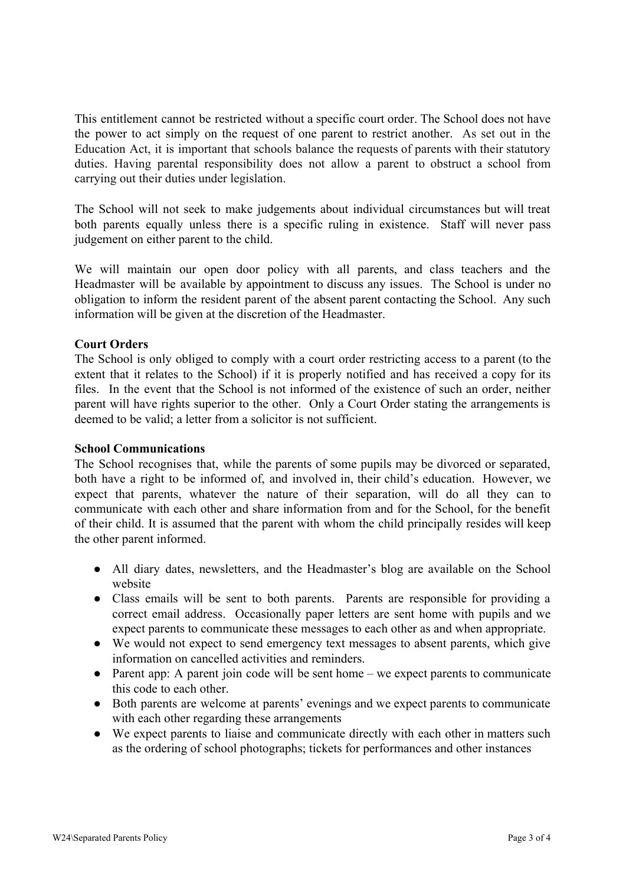This entitlement cannot be restricted without a specific court order. The School does not have the power to act simply on the request of one parent to restrict another. As set out in the Education Act, it is important that schools balance the requests of parents with their statutory duties. Having parental responsibility does not allow a parent to obstruct a school from carrying out their duties under legislation.

The School will not seek to make judgements about individual circumstances but will treat both parents equally unless there is a specific ruling in existence. Staff will never pass judgement on either parent to the child.

We will maintain our open door policy with all parents, and class teachers and the Headmaster will be available by appointment to discuss any issues. The School is under no obligation to inform the resident parent of the absent parent contacting the School. Any such information will be given at the discretion of the Headmaster.

#### **Court Orders**

The School is only obliged to comply with a court order restricting access to a parent (to the extent that it relates to the School) if it is properly notified and has received a copy for its files. In the event that the School is not informed of the existence of such an order, neither parent will have rights superior to the other. Only a Court Order stating the arrangements is deemed to be valid; a letter from a solicitor is not sufficient.

#### **School Communications**

The School recognises that, while the parents of some pupils may be divorced or separated, both have a right to be informed of, and involved in, their child's education. However, we expect that parents, whatever the nature of their separation, will do all they can to communicate with each other and share information from and for the School, for the benefit of their child. It is assumed that the parent with whom the child principally resides will keep the other parent informed.

- All diary dates, newsletters, and the Headmaster's blog are available on the School website
- Class emails will be sent to both parents. Parents are responsible for providing a correct email address. Occasionally paper letters are sent home with pupils and we expect parents to communicate these messages to each other as and when appropriate.
- We would not expect to send emergency text messages to absent parents, which give information on cancelled activities and reminders.
- Parent app: A parent join code will be sent home we expect parents to communicate this code to each other.
- Both parents are welcome at parents' evenings and we expect parents to communicate with each other regarding these arrangements
- We expect parents to liaise and communicate directly with each other in matters such as the ordering of school photographs; tickets for performances and other instances